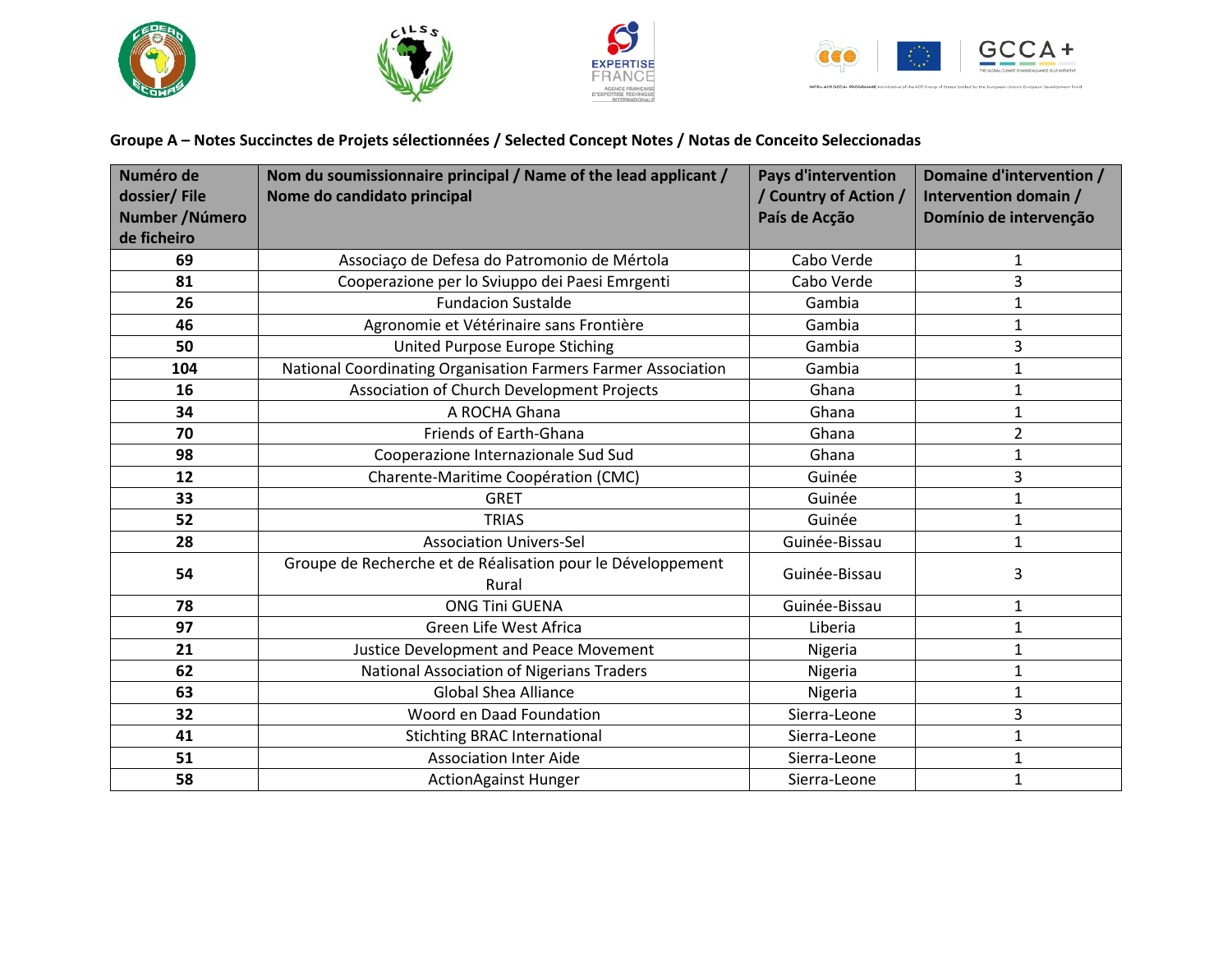







of the ACP Group of:

INTRA-ACP GCCA+ PROGRAMM

**Groupe A – Notes Succinctes de Projets sélectionnées / Selected Concept Notes / Notas de Conceito Seleccionadas**

| Numéro de<br>dossier/File | Nom du soumissionnaire principal / Name of the lead applicant /<br>Nome do candidato principal | <b>Pays d'intervention</b><br>/ Country of Action / | Domaine d'intervention /<br>Intervention domain / |
|---------------------------|------------------------------------------------------------------------------------------------|-----------------------------------------------------|---------------------------------------------------|
| Number / Número           |                                                                                                | País de Acção                                       | Domínio de intervenção                            |
| de ficheiro               |                                                                                                |                                                     |                                                   |
| 69                        | Associaço de Defesa do Patromonio de Mértola                                                   | Cabo Verde                                          | 1                                                 |
| 81                        | Cooperazione per lo Sviuppo dei Paesi Emrgenti                                                 | Cabo Verde                                          | 3                                                 |
| 26                        | <b>Fundacion Sustalde</b>                                                                      | Gambia                                              | 1                                                 |
| 46                        | Agronomie et Vétérinaire sans Frontière                                                        | Gambia                                              | 1                                                 |
| 50                        | United Purpose Europe Stiching                                                                 | Gambia                                              | 3                                                 |
| 104                       | National Coordinating Organisation Farmers Farmer Association                                  | Gambia                                              | $\mathbf{1}$                                      |
| 16                        | Association of Church Development Projects                                                     | Ghana                                               | 1                                                 |
| 34                        | A ROCHA Ghana                                                                                  | Ghana                                               | 1                                                 |
| 70                        | Friends of Earth-Ghana                                                                         | Ghana                                               | $\overline{2}$                                    |
| 98                        | Cooperazione Internazionale Sud Sud                                                            | Ghana                                               | 1                                                 |
| 12                        | Charente-Maritime Coopération (CMC)                                                            | Guinée                                              | 3                                                 |
| 33                        | <b>GRET</b>                                                                                    | Guinée                                              | $\mathbf{1}$                                      |
| 52                        | <b>TRIAS</b>                                                                                   | Guinée                                              | 1                                                 |
| 28                        | <b>Association Univers-Sel</b>                                                                 | Guinée-Bissau                                       | $\mathbf 1$                                       |
| 54                        | Groupe de Recherche et de Réalisation pour le Développement<br>Rural                           | Guinée-Bissau                                       | 3                                                 |
| 78                        | <b>ONG Tini GUENA</b>                                                                          | Guinée-Bissau                                       | 1                                                 |
| 97                        | Green Life West Africa                                                                         | Liberia                                             | 1                                                 |
| 21                        | <b>Justice Development and Peace Movement</b>                                                  | Nigeria                                             | 1                                                 |
| 62                        | National Association of Nigerians Traders                                                      | Nigeria                                             | $\mathbf 1$                                       |
| 63                        | <b>Global Shea Alliance</b>                                                                    | Nigeria                                             | $\mathbf{1}$                                      |
| 32                        | Woord en Daad Foundation                                                                       | Sierra-Leone                                        | 3                                                 |
| 41                        | <b>Stichting BRAC International</b>                                                            | Sierra-Leone                                        | 1                                                 |
| 51                        | <b>Association Inter Aide</b>                                                                  | Sierra-Leone                                        | 1                                                 |
| 58                        | <b>ActionAgainst Hunger</b>                                                                    | Sierra-Leone                                        | 1                                                 |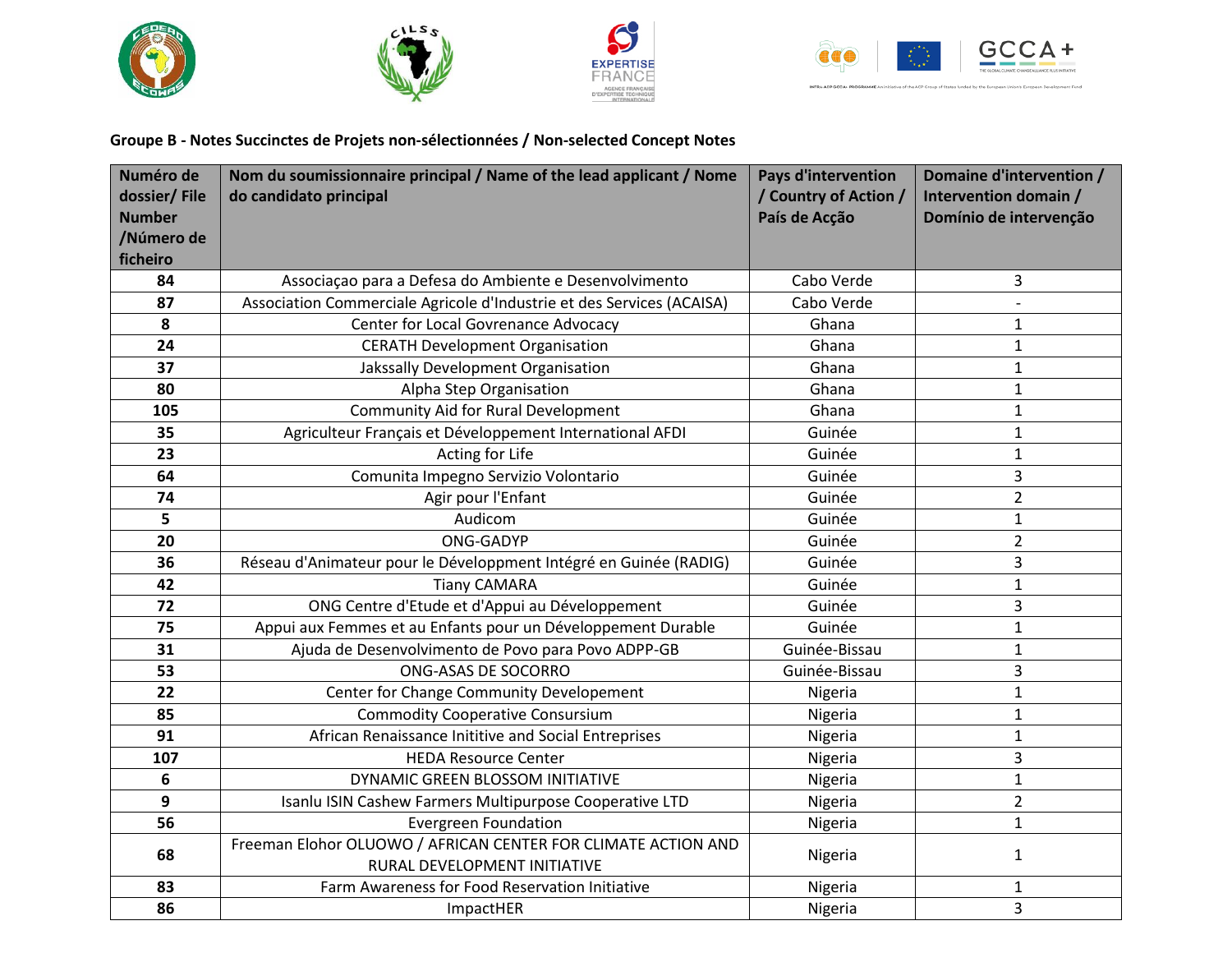







INTRA-ACP GCCA+ PROGRAMME A

## **Groupe B - Notes Succinctes de Projets non-sélectionnées / Non-selected Concept Notes**

| Numéro de     | Nom du soumissionnaire principal / Name of the lead applicant / Nome                          | <b>Pays d'intervention</b> | Domaine d'intervention / |
|---------------|-----------------------------------------------------------------------------------------------|----------------------------|--------------------------|
| dossier/File  | do candidato principal                                                                        | / Country of Action /      | Intervention domain /    |
| <b>Number</b> |                                                                                               | País de Acção              | Domínio de intervenção   |
| /Número de    |                                                                                               |                            |                          |
| ficheiro      |                                                                                               |                            |                          |
| 84            | Associação para a Defesa do Ambiente e Desenvolvimento                                        | Cabo Verde                 | 3                        |
| 87            | Association Commerciale Agricole d'Industrie et des Services (ACAISA)                         | Cabo Verde                 |                          |
| 8             | Center for Local Govrenance Advocacy                                                          | Ghana                      | $\mathbf{1}$             |
| 24            | <b>CERATH Development Organisation</b>                                                        | Ghana                      | $\mathbf{1}$             |
| 37            | Jakssally Development Organisation                                                            | Ghana                      | $\mathbf{1}$             |
| 80            | Alpha Step Organisation                                                                       | Ghana                      | $\mathbf{1}$             |
| 105           | <b>Community Aid for Rural Development</b>                                                    | Ghana                      | $\mathbf{1}$             |
| 35            | Agriculteur Français et Développement International AFDI                                      | Guinée                     | $\mathbf{1}$             |
| 23            | Acting for Life                                                                               | Guinée                     | $\mathbf{1}$             |
| 64            | Comunita Impegno Servizio Volontario                                                          | Guinée                     | 3                        |
| 74            | Agir pour l'Enfant                                                                            | Guinée                     | $\overline{2}$           |
| 5             | Audicom                                                                                       | Guinée                     | $\mathbf{1}$             |
| 20            | ONG-GADYP                                                                                     | Guinée                     | $\overline{2}$           |
| 36            | Réseau d'Animateur pour le Développment Intégré en Guinée (RADIG)                             | Guinée                     | 3                        |
| 42            | <b>Tiany CAMARA</b>                                                                           | Guinée                     | $\mathbf{1}$             |
| 72            | ONG Centre d'Etude et d'Appui au Développement                                                | Guinée                     | 3                        |
| 75            | Appui aux Femmes et au Enfants pour un Développement Durable                                  | Guinée                     | $\mathbf{1}$             |
| 31            | Ajuda de Desenvolvimento de Povo para Povo ADPP-GB                                            | Guinée-Bissau              | $\mathbf{1}$             |
| 53            | ONG-ASAS DE SOCORRO                                                                           | Guinée-Bissau              | 3                        |
| 22            | Center for Change Community Developement                                                      | Nigeria                    | $\mathbf{1}$             |
| 85            | <b>Commodity Cooperative Consursium</b>                                                       | Nigeria                    | $\mathbf{1}$             |
| 91            | African Renaissance Inititive and Social Entreprises                                          | Nigeria                    | $\mathbf{1}$             |
| 107           | <b>HEDA Resource Center</b>                                                                   | Nigeria                    | 3                        |
| 6             | DYNAMIC GREEN BLOSSOM INITIATIVE                                                              | Nigeria                    | $\mathbf{1}$             |
| 9             | Isanlu ISIN Cashew Farmers Multipurpose Cooperative LTD                                       | Nigeria                    | $\overline{2}$           |
| 56            | <b>Evergreen Foundation</b>                                                                   | Nigeria                    | $\mathbf{1}$             |
| 68            | Freeman Elohor OLUOWO / AFRICAN CENTER FOR CLIMATE ACTION AND<br>RURAL DEVELOPMENT INITIATIVE | Nigeria                    | $\mathbf{1}$             |
| 83            | Farm Awareness for Food Reservation Initiative                                                | Nigeria                    | $\mathbf{1}$             |
| 86            | ImpactHER                                                                                     | Nigeria                    | 3                        |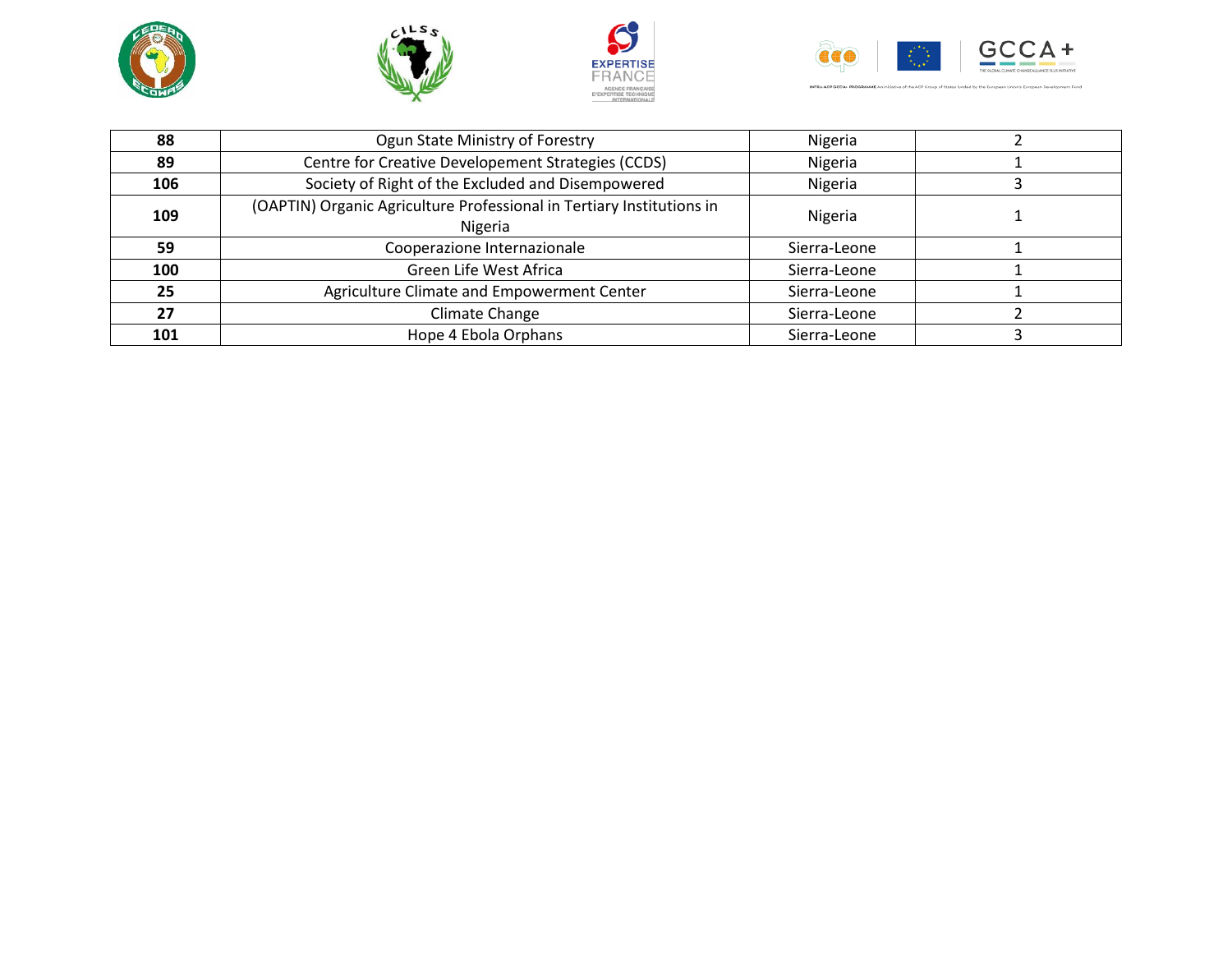







INTRA-ACP GCCA+ PROGRAMME An initiative of the ACP Group of States funded by the European Union's European Development Fund

| 88  | Ogun State Ministry of Forestry                                                  | Nigeria      |  |
|-----|----------------------------------------------------------------------------------|--------------|--|
| 89  | Centre for Creative Developement Strategies (CCDS)                               | Nigeria      |  |
| 106 | Society of Right of the Excluded and Disempowered                                | Nigeria      |  |
| 109 | (OAPTIN) Organic Agriculture Professional in Tertiary Institutions in<br>Nigeria | Nigeria      |  |
| 59  | Cooperazione Internazionale                                                      | Sierra-Leone |  |
| 100 | Green Life West Africa                                                           | Sierra-Leone |  |
| 25  | Agriculture Climate and Empowerment Center                                       | Sierra-Leone |  |
| 27  | Climate Change                                                                   | Sierra-Leone |  |
| 101 | Hope 4 Ebola Orphans                                                             | Sierra-Leone |  |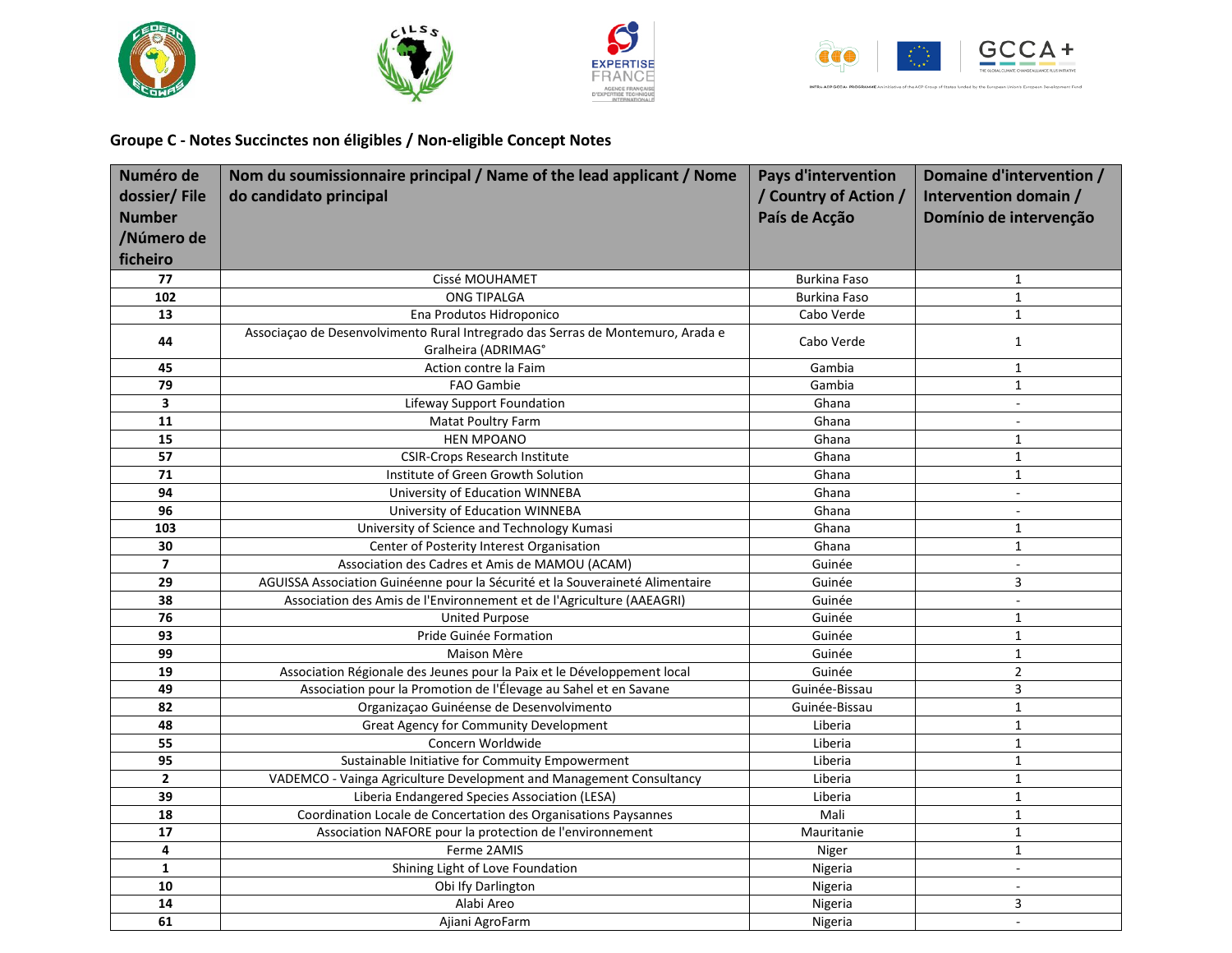







INTRA-ACP GCCA+ PROGRAMME An

**Groupe C - Notes Succinctes non éligibles / Non-eligible Concept Notes** 

| Numéro de               | Nom du soumissionnaire principal / Name of the lead applicant / Nome            | <b>Pays d'intervention</b> | Domaine d'intervention /    |
|-------------------------|---------------------------------------------------------------------------------|----------------------------|-----------------------------|
| dossier/File            | do candidato principal                                                          | / Country of Action /      | Intervention domain /       |
| <b>Number</b>           |                                                                                 | País de Acção              | Domínio de intervenção      |
| /Número de              |                                                                                 |                            |                             |
| ficheiro                |                                                                                 |                            |                             |
|                         |                                                                                 |                            |                             |
| 77                      | Cissé MOUHAMET                                                                  | <b>Burkina Faso</b>        | $\mathbf{1}$<br>$\mathbf 1$ |
| 102<br>13               | <b>ONG TIPALGA</b><br>Ena Produtos Hidroponico                                  | Burkina Faso               | $\mathbf{1}$                |
|                         | Associação de Desenvolvimento Rural Intregrado das Serras de Montemuro, Arada e | Cabo Verde                 |                             |
| 44                      | Gralheira (ADRIMAG°                                                             | Cabo Verde                 | $\mathbf{1}$                |
| 45                      | Action contre la Faim                                                           | Gambia                     | $\mathbf{1}$                |
| 79                      | <b>FAO Gambie</b>                                                               | Gambia                     | $\mathbf{1}$                |
| 3                       | Lifeway Support Foundation                                                      | Ghana                      | $\blacksquare$              |
| 11                      | Matat Poultry Farm                                                              | Ghana                      | $\blacksquare$              |
| 15                      | <b>HEN MPOANO</b>                                                               | Ghana                      | $\mathbf{1}$                |
| 57                      | <b>CSIR-Crops Research Institute</b>                                            | Ghana                      | $\mathbf{1}$                |
| 71                      | Institute of Green Growth Solution                                              | Ghana                      | $\mathbf{1}$                |
| 94                      | University of Education WINNEBA                                                 | Ghana                      | $\sim$                      |
| 96                      | University of Education WINNEBA                                                 | Ghana                      | $\sim$                      |
| 103                     | University of Science and Technology Kumasi                                     | Ghana                      | $\mathbf{1}$                |
| 30                      | Center of Posterity Interest Organisation                                       | Ghana                      | $\mathbf{1}$                |
| $\overline{7}$          | Association des Cadres et Amis de MAMOU (ACAM)                                  | Guinée                     | $\blacksquare$              |
| 29                      | AGUISSA Association Guinéenne pour la Sécurité et la Souveraineté Alimentaire   | Guinée                     | 3                           |
| 38                      | Association des Amis de l'Environnement et de l'Agriculture (AAEAGRI)           | Guinée                     | $\overline{\phantom{a}}$    |
| 76                      | <b>United Purpose</b>                                                           | Guinée                     | $\mathbf{1}$                |
| 93                      | Pride Guinée Formation                                                          | Guinée                     | $\mathbf{1}$                |
| 99                      | Maison Mère                                                                     | Guinée                     | $\mathbf 1$                 |
| 19                      | Association Régionale des Jeunes pour la Paix et le Développement local         | Guinée                     | $\overline{2}$              |
| 49                      | Association pour la Promotion de l'Élevage au Sahel et en Savane                | Guinée-Bissau              | 3                           |
| 82                      | Organização Guinéense de Desenvolvimento                                        | Guinée-Bissau              | $\mathbf 1$                 |
| 48                      | Great Agency for Community Development                                          | Liberia                    | $\mathbf{1}$                |
| 55                      | Concern Worldwide                                                               | Liberia                    | $\mathbf{1}$                |
| 95                      | Sustainable Initiative for Commuity Empowerment                                 | Liberia                    | $\mathbf{1}$                |
| $\overline{2}$          | VADEMCO - Vainga Agriculture Development and Management Consultancy             | Liberia                    | $\mathbf{1}$                |
| 39                      | Liberia Endangered Species Association (LESA)                                   | Liberia                    | $\mathbf{1}$                |
| 18                      | Coordination Locale de Concertation des Organisations Paysannes                 | Mali                       | $\mathbf{1}$                |
| 17                      | Association NAFORE pour la protection de l'environnement                        | Mauritanie                 | 1                           |
| $\overline{\mathbf{4}}$ | Ferme 2AMIS                                                                     | Niger                      | $\mathbf 1$                 |
| $\mathbf{1}$            | Shining Light of Love Foundation                                                | Nigeria                    | $\blacksquare$              |
| 10                      | Obi Ify Darlington                                                              | Nigeria                    | $\sim$                      |
| 14                      | Alabi Areo                                                                      | Nigeria                    | 3                           |
| 61                      | Ajiani AgroFarm                                                                 | Nigeria                    | $\blacksquare$              |